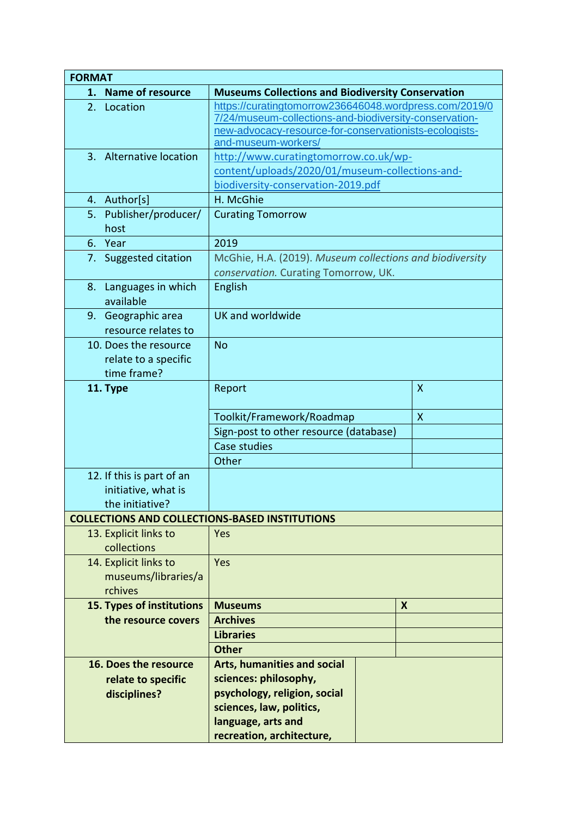| <b>FORMAT</b>                                         |                                                          |                           |
|-------------------------------------------------------|----------------------------------------------------------|---------------------------|
| <b>Name of resource</b><br>1.                         | <b>Museums Collections and Biodiversity Conservation</b> |                           |
| 2. Location                                           | https://curatingtomorrow236646048.wordpress.com/2019/0   |                           |
|                                                       | 7/24/museum-collections-and-biodiversity-conservation-   |                           |
|                                                       | new-advocacy-resource-for-conservationists-ecologists-   |                           |
|                                                       | and-museum-workers/                                      |                           |
| 3. Alternative location                               | http://www.curatingtomorrow.co.uk/wp-                    |                           |
|                                                       | content/uploads/2020/01/museum-collections-and-          |                           |
|                                                       | biodiversity-conservation-2019.pdf                       |                           |
| 4. Author[s]                                          | H. McGhie                                                |                           |
| Publisher/producer/<br>5.                             | <b>Curating Tomorrow</b>                                 |                           |
| host                                                  |                                                          |                           |
| 6. Year                                               | 2019                                                     |                           |
| 7. Suggested citation                                 | McGhie, H.A. (2019). Museum collections and biodiversity |                           |
|                                                       | conservation. Curating Tomorrow, UK.                     |                           |
| Languages in which<br>8.                              | English                                                  |                           |
| available                                             |                                                          |                           |
| 9. Geographic area                                    | UK and worldwide                                         |                           |
| resource relates to                                   |                                                          |                           |
| 10. Does the resource                                 | <b>No</b>                                                |                           |
| relate to a specific                                  |                                                          |                           |
| time frame?                                           |                                                          |                           |
| 11. Type                                              | Report                                                   | $\boldsymbol{\mathsf{X}}$ |
|                                                       |                                                          |                           |
|                                                       | Toolkit/Framework/Roadmap                                | $\mathsf{X}$              |
|                                                       | Sign-post to other resource (database)                   |                           |
|                                                       | Case studies                                             |                           |
|                                                       | Other                                                    |                           |
| 12. If this is part of an                             |                                                          |                           |
| initiative, what is                                   |                                                          |                           |
| the initiative?                                       |                                                          |                           |
| <b>COLLECTIONS AND COLLECTIONS-BASED INSTITUTIONS</b> |                                                          |                           |
| 13. Explicit links to                                 | Yes                                                      |                           |
| collections                                           |                                                          |                           |
| 14. Explicit links to                                 | Yes                                                      |                           |
| museums/libraries/a                                   |                                                          |                           |
| rchives                                               |                                                          |                           |
| 15. Types of institutions                             | <b>Museums</b>                                           | X                         |
| the resource covers                                   | <b>Archives</b>                                          |                           |
|                                                       | <b>Libraries</b>                                         |                           |
|                                                       | <b>Other</b>                                             |                           |
| 16. Does the resource                                 |                                                          |                           |
|                                                       | <b>Arts, humanities and social</b>                       |                           |
| relate to specific                                    | sciences: philosophy,                                    |                           |
| disciplines?                                          | psychology, religion, social                             |                           |
|                                                       | sciences, law, politics,                                 |                           |
|                                                       | language, arts and                                       |                           |
|                                                       | recreation, architecture,                                |                           |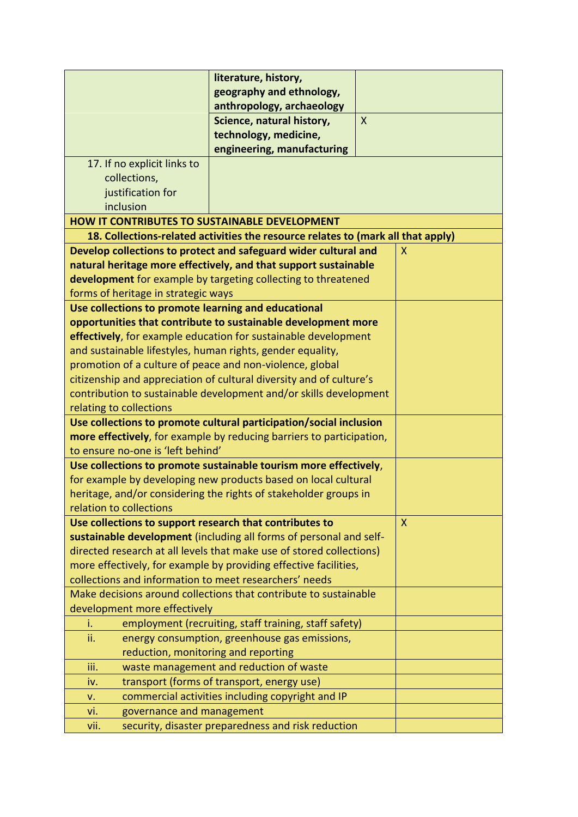|                                                                                                           | literature, history,                                                             |              |  |
|-----------------------------------------------------------------------------------------------------------|----------------------------------------------------------------------------------|--------------|--|
|                                                                                                           | geography and ethnology,                                                         |              |  |
|                                                                                                           | anthropology, archaeology<br>Science, natural history,                           | $\mathsf{X}$ |  |
|                                                                                                           | technology, medicine,                                                            |              |  |
|                                                                                                           | engineering, manufacturing                                                       |              |  |
| 17. If no explicit links to                                                                               |                                                                                  |              |  |
| collections,                                                                                              |                                                                                  |              |  |
| justification for                                                                                         |                                                                                  |              |  |
| inclusion                                                                                                 |                                                                                  |              |  |
| <b>HOW IT CONTRIBUTES TO SUSTAINABLE DEVELOPMENT</b>                                                      |                                                                                  |              |  |
|                                                                                                           | 18. Collections-related activities the resource relates to (mark all that apply) |              |  |
|                                                                                                           | Develop collections to protect and safeguard wider cultural and                  | X            |  |
|                                                                                                           | natural heritage more effectively, and that support sustainable                  |              |  |
|                                                                                                           | development for example by targeting collecting to threatened                    |              |  |
| forms of heritage in strategic ways                                                                       |                                                                                  |              |  |
| Use collections to promote learning and educational                                                       |                                                                                  |              |  |
|                                                                                                           | opportunities that contribute to sustainable development more                    |              |  |
|                                                                                                           | effectively, for example education for sustainable development                   |              |  |
| and sustainable lifestyles, human rights, gender equality,                                                |                                                                                  |              |  |
| promotion of a culture of peace and non-violence, global                                                  |                                                                                  |              |  |
|                                                                                                           | citizenship and appreciation of cultural diversity and of culture's              |              |  |
|                                                                                                           | contribution to sustainable development and/or skills development                |              |  |
| relating to collections                                                                                   |                                                                                  |              |  |
| Use collections to promote cultural participation/social inclusion                                        |                                                                                  |              |  |
| more effectively, for example by reducing barriers to participation,<br>to ensure no-one is 'left behind' |                                                                                  |              |  |
|                                                                                                           | Use collections to promote sustainable tourism more effectively,                 |              |  |
|                                                                                                           | for example by developing new products based on local cultural                   |              |  |
|                                                                                                           | heritage, and/or considering the rights of stakeholder groups in                 |              |  |
| relation to collections                                                                                   |                                                                                  |              |  |
| Use collections to support research that contributes to                                                   |                                                                                  | $\mathsf{X}$ |  |
|                                                                                                           | sustainable development (including all forms of personal and self-               |              |  |
|                                                                                                           | directed research at all levels that make use of stored collections)             |              |  |
| more effectively, for example by providing effective facilities,                                          |                                                                                  |              |  |
| collections and information to meet researchers' needs                                                    |                                                                                  |              |  |
| Make decisions around collections that contribute to sustainable                                          |                                                                                  |              |  |
| development more effectively                                                                              |                                                                                  |              |  |
| i.                                                                                                        | employment (recruiting, staff training, staff safety)                            |              |  |
| ii.                                                                                                       | energy consumption, greenhouse gas emissions,                                    |              |  |
| reduction, monitoring and reporting                                                                       |                                                                                  |              |  |
| iii.                                                                                                      | waste management and reduction of waste                                          |              |  |
| iv.                                                                                                       | transport (forms of transport, energy use)                                       |              |  |
| v.                                                                                                        | commercial activities including copyright and IP                                 |              |  |
| governance and management<br>vi.                                                                          |                                                                                  |              |  |
| vii.                                                                                                      | security, disaster preparedness and risk reduction                               |              |  |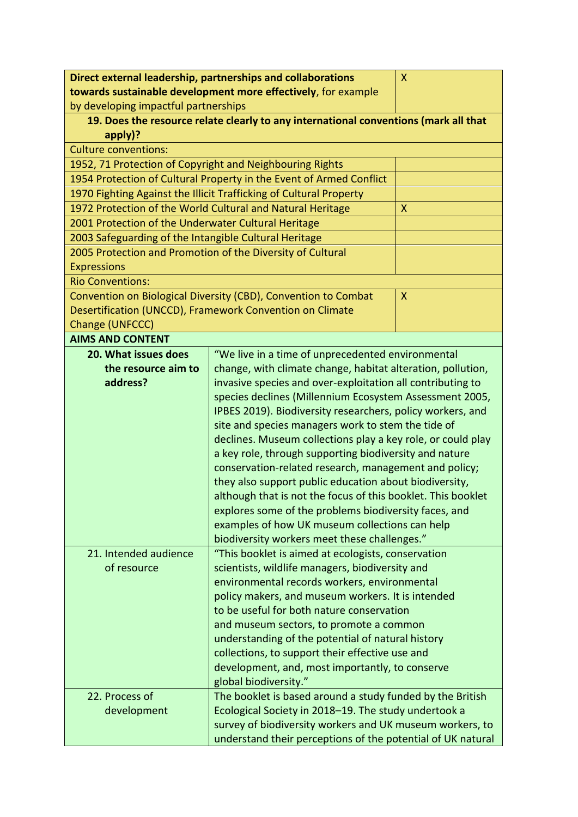| Direct external leadership, partnerships and collaborations<br>X |                                                                                      |              |
|------------------------------------------------------------------|--------------------------------------------------------------------------------------|--------------|
|                                                                  | towards sustainable development more effectively, for example                        |              |
| by developing impactful partnerships                             |                                                                                      |              |
|                                                                  | 19. Does the resource relate clearly to any international conventions (mark all that |              |
| apply)?                                                          |                                                                                      |              |
| <b>Culture conventions:</b>                                      |                                                                                      |              |
| 1952, 71 Protection of Copyright and Neighbouring Rights         |                                                                                      |              |
|                                                                  | 1954 Protection of Cultural Property in the Event of Armed Conflict                  |              |
|                                                                  | 1970 Fighting Against the Illicit Trafficking of Cultural Property                   |              |
|                                                                  | 1972 Protection of the World Cultural and Natural Heritage                           | X            |
| 2001 Protection of the Underwater Cultural Heritage              |                                                                                      |              |
| 2003 Safeguarding of the Intangible Cultural Heritage            |                                                                                      |              |
|                                                                  | 2005 Protection and Promotion of the Diversity of Cultural                           |              |
| <b>Expressions</b>                                               |                                                                                      |              |
| <b>Rio Conventions:</b>                                          |                                                                                      |              |
|                                                                  | Convention on Biological Diversity (CBD), Convention to Combat                       | $\mathsf{X}$ |
|                                                                  | Desertification (UNCCD), Framework Convention on Climate                             |              |
| Change (UNFCCC)                                                  |                                                                                      |              |
| <b>AIMS AND CONTENT</b>                                          |                                                                                      |              |
| 20. What issues does                                             | "We live in a time of unprecedented environmental                                    |              |
| the resource aim to                                              | change, with climate change, habitat alteration, pollution,                          |              |
| address?                                                         | invasive species and over-exploitation all contributing to                           |              |
|                                                                  | species declines (Millennium Ecosystem Assessment 2005,                              |              |
|                                                                  | IPBES 2019). Biodiversity researchers, policy workers, and                           |              |
|                                                                  | site and species managers work to stem the tide of                                   |              |
|                                                                  | declines. Museum collections play a key role, or could play                          |              |
|                                                                  | a key role, through supporting biodiversity and nature                               |              |
|                                                                  | conservation-related research, management and policy;                                |              |
|                                                                  | they also support public education about biodiversity,                               |              |
|                                                                  | although that is not the focus of this booklet. This booklet                         |              |
|                                                                  | explores some of the problems biodiversity faces, and                                |              |
|                                                                  | examples of how UK museum collections can help                                       |              |
|                                                                  | biodiversity workers meet these challenges."                                         |              |
| 21. Intended audience                                            | "This booklet is aimed at ecologists, conservation                                   |              |
| of resource                                                      | scientists, wildlife managers, biodiversity and                                      |              |
|                                                                  | environmental records workers, environmental                                         |              |
|                                                                  | policy makers, and museum workers. It is intended                                    |              |
|                                                                  | to be useful for both nature conservation                                            |              |
|                                                                  | and museum sectors, to promote a common                                              |              |
|                                                                  | understanding of the potential of natural history                                    |              |
|                                                                  | collections, to support their effective use and                                      |              |
|                                                                  | development, and, most importantly, to conserve                                      |              |
| global biodiversity."                                            |                                                                                      |              |
| 22. Process of                                                   | The booklet is based around a study funded by the British                            |              |
| development                                                      | Ecological Society in 2018-19. The study undertook a                                 |              |
|                                                                  | survey of biodiversity workers and UK museum workers, to                             |              |
|                                                                  | understand their perceptions of the potential of UK natural                          |              |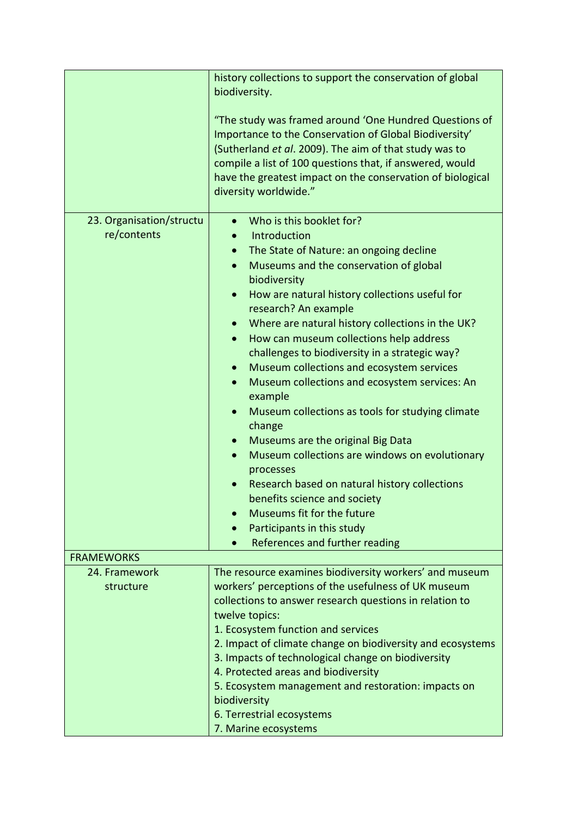|                          | history collections to support the conservation of global                                                                                                                                                                                                                                                                     |
|--------------------------|-------------------------------------------------------------------------------------------------------------------------------------------------------------------------------------------------------------------------------------------------------------------------------------------------------------------------------|
|                          | biodiversity.                                                                                                                                                                                                                                                                                                                 |
|                          | "The study was framed around 'One Hundred Questions of<br>Importance to the Conservation of Global Biodiversity'<br>(Sutherland et al. 2009). The aim of that study was to<br>compile a list of 100 questions that, if answered, would<br>have the greatest impact on the conservation of biological<br>diversity worldwide." |
| 23. Organisation/structu | Who is this booklet for?<br>$\bullet$                                                                                                                                                                                                                                                                                         |
| re/contents              | Introduction                                                                                                                                                                                                                                                                                                                  |
|                          | The State of Nature: an ongoing decline<br>$\bullet$                                                                                                                                                                                                                                                                          |
|                          | Museums and the conservation of global<br>$\bullet$                                                                                                                                                                                                                                                                           |
|                          | biodiversity                                                                                                                                                                                                                                                                                                                  |
|                          | How are natural history collections useful for<br>$\bullet$<br>research? An example                                                                                                                                                                                                                                           |
|                          | Where are natural history collections in the UK?                                                                                                                                                                                                                                                                              |
|                          | How can museum collections help address<br>$\bullet$                                                                                                                                                                                                                                                                          |
|                          | challenges to biodiversity in a strategic way?                                                                                                                                                                                                                                                                                |
|                          | Museum collections and ecosystem services<br>$\bullet$                                                                                                                                                                                                                                                                        |
|                          | Museum collections and ecosystem services: An<br>$\bullet$<br>example                                                                                                                                                                                                                                                         |
|                          | Museum collections as tools for studying climate                                                                                                                                                                                                                                                                              |
|                          | change                                                                                                                                                                                                                                                                                                                        |
|                          | Museums are the original Big Data                                                                                                                                                                                                                                                                                             |
|                          | Museum collections are windows on evolutionary<br>$\bullet$                                                                                                                                                                                                                                                                   |
|                          | processes                                                                                                                                                                                                                                                                                                                     |
|                          | Research based on natural history collections<br>benefits science and society                                                                                                                                                                                                                                                 |
|                          | Museums fit for the future                                                                                                                                                                                                                                                                                                    |
|                          | Participants in this study<br>$\bullet$                                                                                                                                                                                                                                                                                       |
|                          | References and further reading                                                                                                                                                                                                                                                                                                |
| <b>FRAMEWORKS</b>        |                                                                                                                                                                                                                                                                                                                               |
| 24. Framework            | The resource examines biodiversity workers' and museum                                                                                                                                                                                                                                                                        |
| structure                | workers' perceptions of the usefulness of UK museum                                                                                                                                                                                                                                                                           |
|                          | collections to answer research questions in relation to                                                                                                                                                                                                                                                                       |
|                          | twelve topics:<br>1. Ecosystem function and services                                                                                                                                                                                                                                                                          |
|                          | 2. Impact of climate change on biodiversity and ecosystems                                                                                                                                                                                                                                                                    |
|                          | 3. Impacts of technological change on biodiversity                                                                                                                                                                                                                                                                            |
|                          | 4. Protected areas and biodiversity                                                                                                                                                                                                                                                                                           |
|                          | 5. Ecosystem management and restoration: impacts on                                                                                                                                                                                                                                                                           |
|                          | biodiversity                                                                                                                                                                                                                                                                                                                  |
|                          | 6. Terrestrial ecosystems                                                                                                                                                                                                                                                                                                     |
|                          | 7. Marine ecosystems                                                                                                                                                                                                                                                                                                          |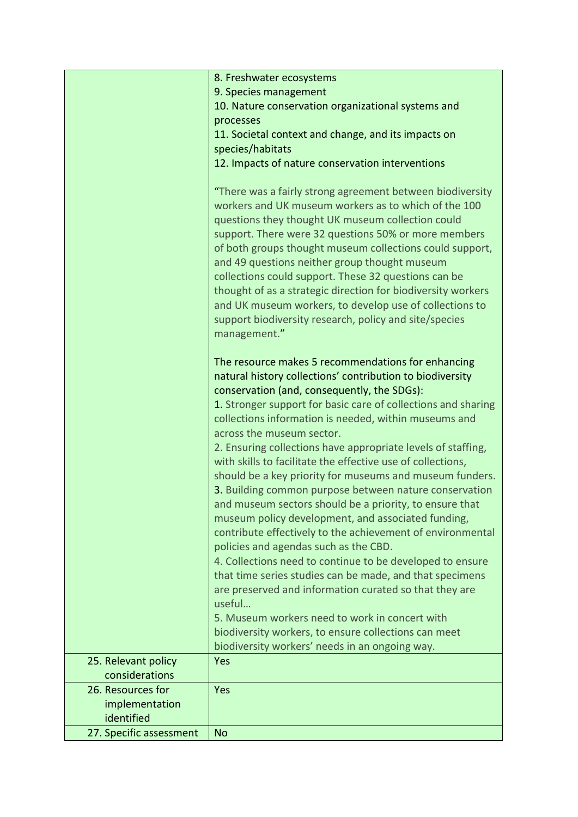|                         | 8. Freshwater ecosystems                                                                                                                                                                                                                                                                                                                                                                                                                                                                                                                                                                                                                                                                                                                                                                           |
|-------------------------|----------------------------------------------------------------------------------------------------------------------------------------------------------------------------------------------------------------------------------------------------------------------------------------------------------------------------------------------------------------------------------------------------------------------------------------------------------------------------------------------------------------------------------------------------------------------------------------------------------------------------------------------------------------------------------------------------------------------------------------------------------------------------------------------------|
|                         | 9. Species management                                                                                                                                                                                                                                                                                                                                                                                                                                                                                                                                                                                                                                                                                                                                                                              |
|                         | 10. Nature conservation organizational systems and                                                                                                                                                                                                                                                                                                                                                                                                                                                                                                                                                                                                                                                                                                                                                 |
|                         | processes                                                                                                                                                                                                                                                                                                                                                                                                                                                                                                                                                                                                                                                                                                                                                                                          |
|                         | 11. Societal context and change, and its impacts on                                                                                                                                                                                                                                                                                                                                                                                                                                                                                                                                                                                                                                                                                                                                                |
|                         | species/habitats                                                                                                                                                                                                                                                                                                                                                                                                                                                                                                                                                                                                                                                                                                                                                                                   |
|                         | 12. Impacts of nature conservation interventions                                                                                                                                                                                                                                                                                                                                                                                                                                                                                                                                                                                                                                                                                                                                                   |
|                         | "There was a fairly strong agreement between biodiversity<br>workers and UK museum workers as to which of the 100<br>questions they thought UK museum collection could<br>support. There were 32 questions 50% or more members<br>of both groups thought museum collections could support,<br>and 49 questions neither group thought museum<br>collections could support. These 32 questions can be<br>thought of as a strategic direction for biodiversity workers<br>and UK museum workers, to develop use of collections to<br>support biodiversity research, policy and site/species<br>management."                                                                                                                                                                                           |
|                         | The resource makes 5 recommendations for enhancing<br>natural history collections' contribution to biodiversity<br>conservation (and, consequently, the SDGs):<br>1. Stronger support for basic care of collections and sharing<br>collections information is needed, within museums and<br>across the museum sector.<br>2. Ensuring collections have appropriate levels of staffing,<br>with skills to facilitate the effective use of collections,<br>should be a key priority for museums and museum funders.<br>3. Building common purpose between nature conservation<br>and museum sectors should be a priority, to ensure that<br>museum policy development, and associated funding,<br>contribute effectively to the achievement of environmental<br>policies and agendas such as the CBD. |
|                         | 4. Collections need to continue to be developed to ensure<br>that time series studies can be made, and that specimens<br>are preserved and information curated so that they are<br>useful<br>5. Museum workers need to work in concert with                                                                                                                                                                                                                                                                                                                                                                                                                                                                                                                                                        |
|                         | biodiversity workers, to ensure collections can meet                                                                                                                                                                                                                                                                                                                                                                                                                                                                                                                                                                                                                                                                                                                                               |
|                         | biodiversity workers' needs in an ongoing way.                                                                                                                                                                                                                                                                                                                                                                                                                                                                                                                                                                                                                                                                                                                                                     |
| 25. Relevant policy     | Yes                                                                                                                                                                                                                                                                                                                                                                                                                                                                                                                                                                                                                                                                                                                                                                                                |
| considerations          |                                                                                                                                                                                                                                                                                                                                                                                                                                                                                                                                                                                                                                                                                                                                                                                                    |
| 26. Resources for       | Yes                                                                                                                                                                                                                                                                                                                                                                                                                                                                                                                                                                                                                                                                                                                                                                                                |
| implementation          |                                                                                                                                                                                                                                                                                                                                                                                                                                                                                                                                                                                                                                                                                                                                                                                                    |
| identified              |                                                                                                                                                                                                                                                                                                                                                                                                                                                                                                                                                                                                                                                                                                                                                                                                    |
| 27. Specific assessment | <b>No</b>                                                                                                                                                                                                                                                                                                                                                                                                                                                                                                                                                                                                                                                                                                                                                                                          |
|                         |                                                                                                                                                                                                                                                                                                                                                                                                                                                                                                                                                                                                                                                                                                                                                                                                    |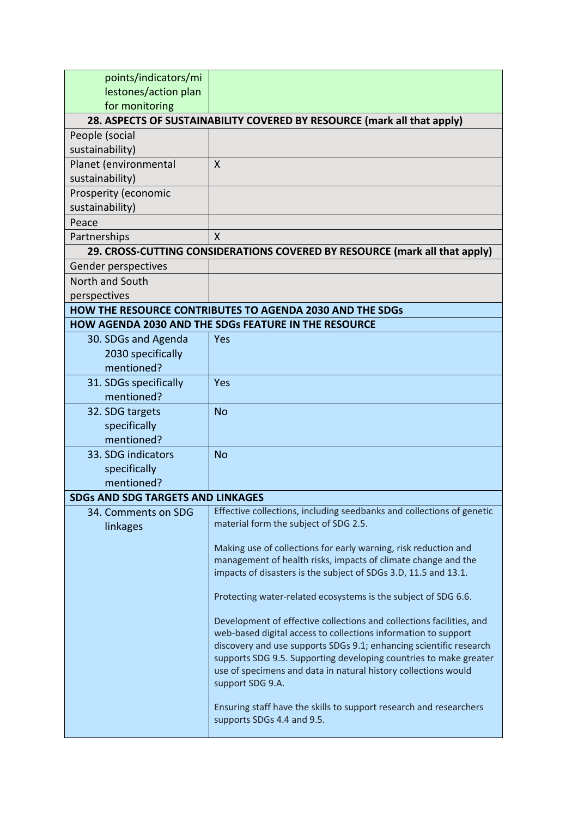| points/indicators/mi                     |                                                                                                                                                                                                                                                                                                                                                                         |
|------------------------------------------|-------------------------------------------------------------------------------------------------------------------------------------------------------------------------------------------------------------------------------------------------------------------------------------------------------------------------------------------------------------------------|
| lestones/action plan                     |                                                                                                                                                                                                                                                                                                                                                                         |
| for monitoring                           |                                                                                                                                                                                                                                                                                                                                                                         |
|                                          | 28. ASPECTS OF SUSTAINABILITY COVERED BY RESOURCE (mark all that apply)                                                                                                                                                                                                                                                                                                 |
| People (social                           |                                                                                                                                                                                                                                                                                                                                                                         |
| sustainability)                          |                                                                                                                                                                                                                                                                                                                                                                         |
| Planet (environmental                    | $\sf X$                                                                                                                                                                                                                                                                                                                                                                 |
| sustainability)                          |                                                                                                                                                                                                                                                                                                                                                                         |
| Prosperity (economic                     |                                                                                                                                                                                                                                                                                                                                                                         |
| sustainability)                          |                                                                                                                                                                                                                                                                                                                                                                         |
| Peace                                    |                                                                                                                                                                                                                                                                                                                                                                         |
| Partnerships                             | X                                                                                                                                                                                                                                                                                                                                                                       |
|                                          | 29. CROSS-CUTTING CONSIDERATIONS COVERED BY RESOURCE (mark all that apply)                                                                                                                                                                                                                                                                                              |
| Gender perspectives                      |                                                                                                                                                                                                                                                                                                                                                                         |
| North and South                          |                                                                                                                                                                                                                                                                                                                                                                         |
| perspectives                             |                                                                                                                                                                                                                                                                                                                                                                         |
|                                          | <b>HOW THE RESOURCE CONTRIBUTES TO AGENDA 2030 AND THE SDGS</b>                                                                                                                                                                                                                                                                                                         |
|                                          | HOW AGENDA 2030 AND THE SDGs FEATURE IN THE RESOURCE                                                                                                                                                                                                                                                                                                                    |
| 30. SDGs and Agenda                      | Yes                                                                                                                                                                                                                                                                                                                                                                     |
| 2030 specifically                        |                                                                                                                                                                                                                                                                                                                                                                         |
| mentioned?                               |                                                                                                                                                                                                                                                                                                                                                                         |
| 31. SDGs specifically                    | Yes                                                                                                                                                                                                                                                                                                                                                                     |
| mentioned?                               |                                                                                                                                                                                                                                                                                                                                                                         |
| 32. SDG targets                          | <b>No</b>                                                                                                                                                                                                                                                                                                                                                               |
| specifically                             |                                                                                                                                                                                                                                                                                                                                                                         |
| mentioned?                               |                                                                                                                                                                                                                                                                                                                                                                         |
| 33. SDG indicators                       | <b>No</b>                                                                                                                                                                                                                                                                                                                                                               |
| specifically                             |                                                                                                                                                                                                                                                                                                                                                                         |
| mentioned?                               |                                                                                                                                                                                                                                                                                                                                                                         |
| <b>SDGs AND SDG TARGETS AND LINKAGES</b> |                                                                                                                                                                                                                                                                                                                                                                         |
| 34. Comments on SDG<br>linkages          | Effective collections, including seedbanks and collections of genetic<br>material form the subject of SDG 2.5.                                                                                                                                                                                                                                                          |
|                                          | Making use of collections for early warning, risk reduction and<br>management of health risks, impacts of climate change and the<br>impacts of disasters is the subject of SDGs 3.D, 11.5 and 13.1.                                                                                                                                                                     |
|                                          | Protecting water-related ecosystems is the subject of SDG 6.6.                                                                                                                                                                                                                                                                                                          |
|                                          | Development of effective collections and collections facilities, and<br>web-based digital access to collections information to support<br>discovery and use supports SDGs 9.1; enhancing scientific research<br>supports SDG 9.5. Supporting developing countries to make greater<br>use of specimens and data in natural history collections would<br>support SDG 9.A. |
|                                          | Ensuring staff have the skills to support research and researchers<br>supports SDGs 4.4 and 9.5.                                                                                                                                                                                                                                                                        |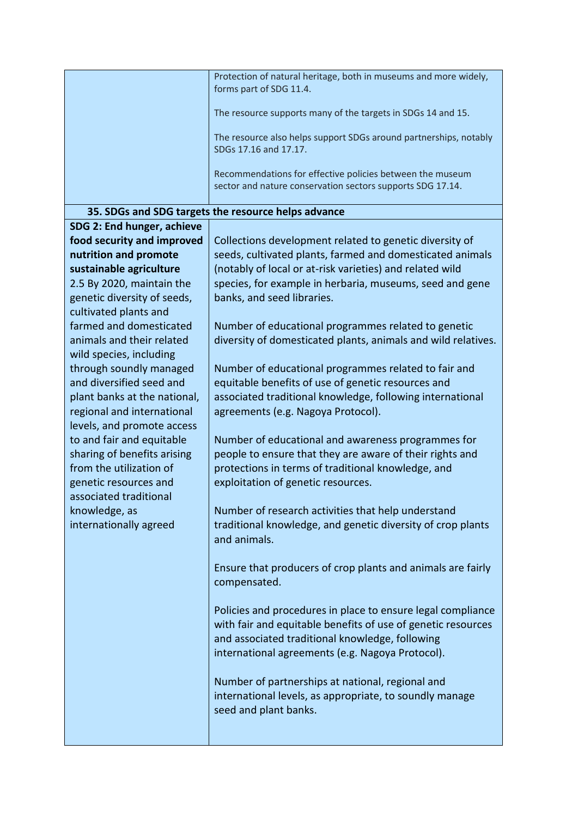|                                                          | Protection of natural heritage, both in museums and more widely,<br>forms part of SDG 11.4.<br>The resource supports many of the targets in SDGs 14 and 15.<br>The resource also helps support SDGs around partnerships, notably<br>SDGs 17.16 and 17.17.<br>Recommendations for effective policies between the museum<br>sector and nature conservation sectors supports SDG 17.14. |
|----------------------------------------------------------|--------------------------------------------------------------------------------------------------------------------------------------------------------------------------------------------------------------------------------------------------------------------------------------------------------------------------------------------------------------------------------------|
|                                                          | 35. SDGs and SDG targets the resource helps advance                                                                                                                                                                                                                                                                                                                                  |
| SDG 2: End hunger, achieve                               |                                                                                                                                                                                                                                                                                                                                                                                      |
| food security and improved                               | Collections development related to genetic diversity of                                                                                                                                                                                                                                                                                                                              |
| nutrition and promote                                    | seeds, cultivated plants, farmed and domesticated animals                                                                                                                                                                                                                                                                                                                            |
| sustainable agriculture                                  | (notably of local or at-risk varieties) and related wild                                                                                                                                                                                                                                                                                                                             |
| 2.5 By 2020, maintain the                                | species, for example in herbaria, museums, seed and gene                                                                                                                                                                                                                                                                                                                             |
| genetic diversity of seeds,                              | banks, and seed libraries.                                                                                                                                                                                                                                                                                                                                                           |
| cultivated plants and<br>farmed and domesticated         | Number of educational programmes related to genetic                                                                                                                                                                                                                                                                                                                                  |
| animals and their related                                | diversity of domesticated plants, animals and wild relatives.                                                                                                                                                                                                                                                                                                                        |
| wild species, including                                  |                                                                                                                                                                                                                                                                                                                                                                                      |
| through soundly managed                                  | Number of educational programmes related to fair and                                                                                                                                                                                                                                                                                                                                 |
| and diversified seed and                                 | equitable benefits of use of genetic resources and                                                                                                                                                                                                                                                                                                                                   |
| plant banks at the national,                             | associated traditional knowledge, following international                                                                                                                                                                                                                                                                                                                            |
| regional and international<br>levels, and promote access | agreements (e.g. Nagoya Protocol).                                                                                                                                                                                                                                                                                                                                                   |
| to and fair and equitable                                | Number of educational and awareness programmes for                                                                                                                                                                                                                                                                                                                                   |
| sharing of benefits arising                              | people to ensure that they are aware of their rights and                                                                                                                                                                                                                                                                                                                             |
| from the utilization of                                  | protections in terms of traditional knowledge, and                                                                                                                                                                                                                                                                                                                                   |
| genetic resources and                                    | exploitation of genetic resources.                                                                                                                                                                                                                                                                                                                                                   |
| associated traditional                                   |                                                                                                                                                                                                                                                                                                                                                                                      |
| knowledge, as                                            | Number of research activities that help understand                                                                                                                                                                                                                                                                                                                                   |
| internationally agreed                                   | traditional knowledge, and genetic diversity of crop plants<br>and animals.                                                                                                                                                                                                                                                                                                          |
|                                                          |                                                                                                                                                                                                                                                                                                                                                                                      |
|                                                          | Ensure that producers of crop plants and animals are fairly                                                                                                                                                                                                                                                                                                                          |
|                                                          | compensated.                                                                                                                                                                                                                                                                                                                                                                         |
|                                                          |                                                                                                                                                                                                                                                                                                                                                                                      |
|                                                          | Policies and procedures in place to ensure legal compliance                                                                                                                                                                                                                                                                                                                          |
|                                                          | with fair and equitable benefits of use of genetic resources                                                                                                                                                                                                                                                                                                                         |
|                                                          | and associated traditional knowledge, following<br>international agreements (e.g. Nagoya Protocol).                                                                                                                                                                                                                                                                                  |
|                                                          |                                                                                                                                                                                                                                                                                                                                                                                      |
|                                                          | Number of partnerships at national, regional and                                                                                                                                                                                                                                                                                                                                     |
|                                                          | international levels, as appropriate, to soundly manage                                                                                                                                                                                                                                                                                                                              |
|                                                          | seed and plant banks.                                                                                                                                                                                                                                                                                                                                                                |
|                                                          |                                                                                                                                                                                                                                                                                                                                                                                      |
|                                                          |                                                                                                                                                                                                                                                                                                                                                                                      |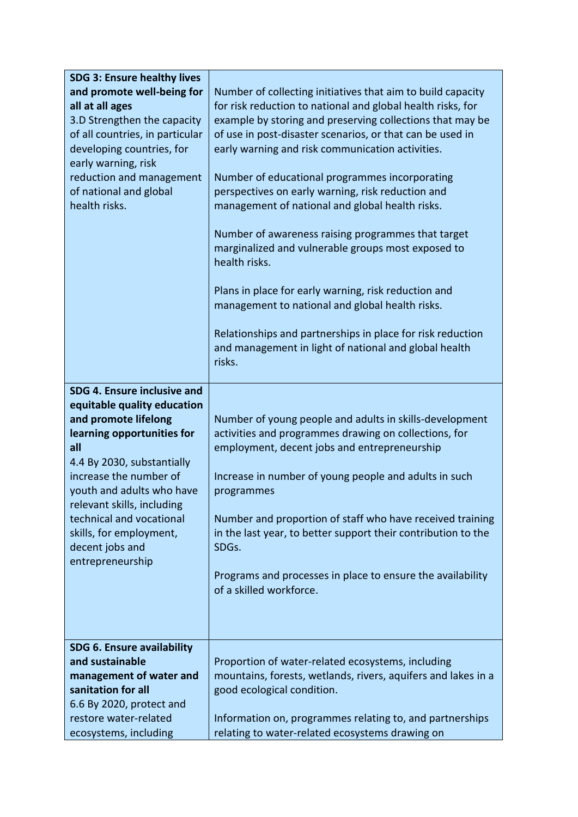| <b>SDG 3: Ensure healthy lives</b> |                                                               |
|------------------------------------|---------------------------------------------------------------|
| and promote well-being for         | Number of collecting initiatives that aim to build capacity   |
| all at all ages                    | for risk reduction to national and global health risks, for   |
| 3.D Strengthen the capacity        | example by storing and preserving collections that may be     |
| of all countries, in particular    | of use in post-disaster scenarios, or that can be used in     |
| developing countries, for          | early warning and risk communication activities.              |
| early warning, risk                |                                                               |
| reduction and management           | Number of educational programmes incorporating                |
| of national and global             | perspectives on early warning, risk reduction and             |
| health risks.                      | management of national and global health risks.               |
|                                    |                                                               |
|                                    | Number of awareness raising programmes that target            |
|                                    | marginalized and vulnerable groups most exposed to            |
|                                    | health risks.                                                 |
|                                    |                                                               |
|                                    | Plans in place for early warning, risk reduction and          |
|                                    | management to national and global health risks.               |
|                                    |                                                               |
|                                    | Relationships and partnerships in place for risk reduction    |
|                                    | and management in light of national and global health         |
|                                    | risks.                                                        |
|                                    |                                                               |
| SDG 4. Ensure inclusive and        |                                                               |
| equitable quality education        |                                                               |
| and promote lifelong               | Number of young people and adults in skills-development       |
| learning opportunities for         | activities and programmes drawing on collections, for         |
| all                                | employment, decent jobs and entrepreneurship                  |
| 4.4 By 2030, substantially         |                                                               |
| increase the number of             |                                                               |
|                                    |                                                               |
|                                    | Increase in number of young people and adults in such         |
| youth and adults who have          | programmes                                                    |
| relevant skills, including         |                                                               |
| technical and vocational           | Number and proportion of staff who have received training     |
| skills, for employment,            | in the last year, to better support their contribution to the |
| decent jobs and                    | SDGs.                                                         |
| entrepreneurship                   |                                                               |
|                                    | Programs and processes in place to ensure the availability    |
|                                    | of a skilled workforce.                                       |
|                                    |                                                               |
|                                    |                                                               |
| SDG 6. Ensure availability         |                                                               |
| and sustainable                    | Proportion of water-related ecosystems, including             |
| management of water and            | mountains, forests, wetlands, rivers, aquifers and lakes in a |
| sanitation for all                 |                                                               |
| 6.6 By 2020, protect and           | good ecological condition.                                    |
| restore water-related              | Information on, programmes relating to, and partnerships      |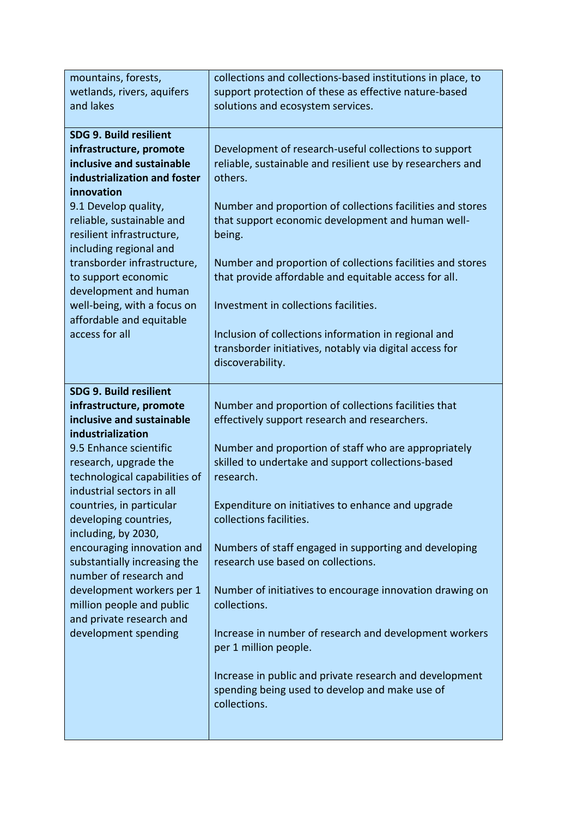| mountains, forests,                                        | collections and collections-based institutions in place, to     |
|------------------------------------------------------------|-----------------------------------------------------------------|
| wetlands, rivers, aquifers                                 | support protection of these as effective nature-based           |
| and lakes                                                  | solutions and ecosystem services.                               |
| <b>SDG 9. Build resilient</b>                              |                                                                 |
| infrastructure, promote                                    | Development of research-useful collections to support           |
| inclusive and sustainable                                  | reliable, sustainable and resilient use by researchers and      |
| industrialization and foster                               | others.                                                         |
| innovation                                                 |                                                                 |
| 9.1 Develop quality,                                       | Number and proportion of collections facilities and stores      |
| reliable, sustainable and                                  | that support economic development and human well-               |
| resilient infrastructure,                                  | being.                                                          |
| including regional and                                     |                                                                 |
| transborder infrastructure,                                | Number and proportion of collections facilities and stores      |
| to support economic                                        | that provide affordable and equitable access for all.           |
| development and human                                      | Investment in collections facilities.                           |
| well-being, with a focus on<br>affordable and equitable    |                                                                 |
| access for all                                             | Inclusion of collections information in regional and            |
|                                                            | transborder initiatives, notably via digital access for         |
|                                                            | discoverability.                                                |
|                                                            |                                                                 |
| <b>SDG 9. Build resilient</b>                              |                                                                 |
| infrastructure, promote                                    | Number and proportion of collections facilities that            |
| inclusive and sustainable                                  | effectively support research and researchers.                   |
| industrialization                                          |                                                                 |
| 9.5 Enhance scientific                                     | Number and proportion of staff who are appropriately            |
| research, upgrade the                                      | skilled to undertake and support collections-based<br>research. |
| technological capabilities of<br>industrial sectors in all |                                                                 |
| countries, in particular                                   | Expenditure on initiatives to enhance and upgrade               |
| developing countries,                                      | collections facilities.                                         |
| including, by 2030,                                        |                                                                 |
| encouraging innovation and                                 | Numbers of staff engaged in supporting and developing           |
| substantially increasing the                               | research use based on collections.                              |
| number of research and                                     |                                                                 |
| development workers per 1                                  | Number of initiatives to encourage innovation drawing on        |
| million people and public                                  | collections.                                                    |
| and private research and                                   |                                                                 |
| development spending                                       | Increase in number of research and development workers          |
|                                                            | per 1 million people.                                           |
|                                                            | Increase in public and private research and development         |
|                                                            | spending being used to develop and make use of                  |
|                                                            | collections.                                                    |
|                                                            |                                                                 |
|                                                            |                                                                 |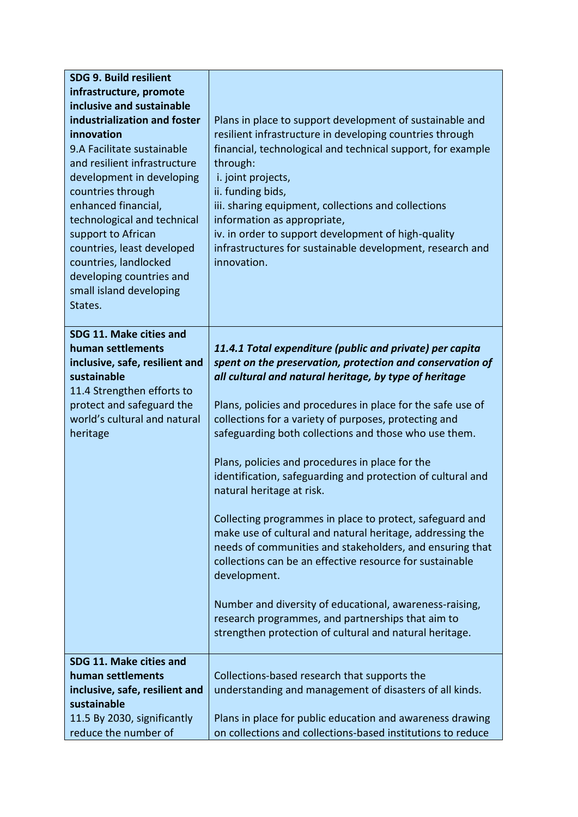| <b>SDG 9. Build resilient</b>  |                                                             |
|--------------------------------|-------------------------------------------------------------|
| infrastructure, promote        |                                                             |
| inclusive and sustainable      |                                                             |
| industrialization and foster   | Plans in place to support development of sustainable and    |
| innovation                     | resilient infrastructure in developing countries through    |
| 9.A Facilitate sustainable     | financial, technological and technical support, for example |
| and resilient infrastructure   | through:                                                    |
| development in developing      | i. joint projects,                                          |
| countries through              | ii. funding bids,                                           |
| enhanced financial,            | iii. sharing equipment, collections and collections         |
| technological and technical    | information as appropriate,                                 |
| support to African             | iv. in order to support development of high-quality         |
| countries, least developed     | infrastructures for sustainable development, research and   |
| countries, landlocked          | innovation.                                                 |
| developing countries and       |                                                             |
| small island developing        |                                                             |
| States.                        |                                                             |
|                                |                                                             |
| SDG 11. Make cities and        |                                                             |
| human settlements              | 11.4.1 Total expenditure (public and private) per capita    |
| inclusive, safe, resilient and | spent on the preservation, protection and conservation of   |
| sustainable                    | all cultural and natural heritage, by type of heritage      |
| 11.4 Strengthen efforts to     |                                                             |
| protect and safeguard the      | Plans, policies and procedures in place for the safe use of |
| world's cultural and natural   | collections for a variety of purposes, protecting and       |
| heritage                       | safeguarding both collections and those who use them.       |
|                                |                                                             |
|                                | Plans, policies and procedures in place for the             |
|                                | identification, safeguarding and protection of cultural and |
|                                | natural heritage at risk.                                   |
|                                | Collecting programmes in place to protect, safeguard and    |
|                                | make use of cultural and natural heritage, addressing the   |
|                                | needs of communities and stakeholders, and ensuring that    |
|                                | collections can be an effective resource for sustainable    |
|                                | development.                                                |
|                                |                                                             |
|                                | Number and diversity of educational, awareness-raising,     |
|                                | research programmes, and partnerships that aim to           |
|                                | strengthen protection of cultural and natural heritage.     |
|                                |                                                             |
| SDG 11. Make cities and        |                                                             |
| human settlements              | Collections-based research that supports the                |
| inclusive, safe, resilient and | understanding and management of disasters of all kinds.     |
| sustainable                    |                                                             |
| 11.5 By 2030, significantly    | Plans in place for public education and awareness drawing   |
| reduce the number of           | on collections and collections-based institutions to reduce |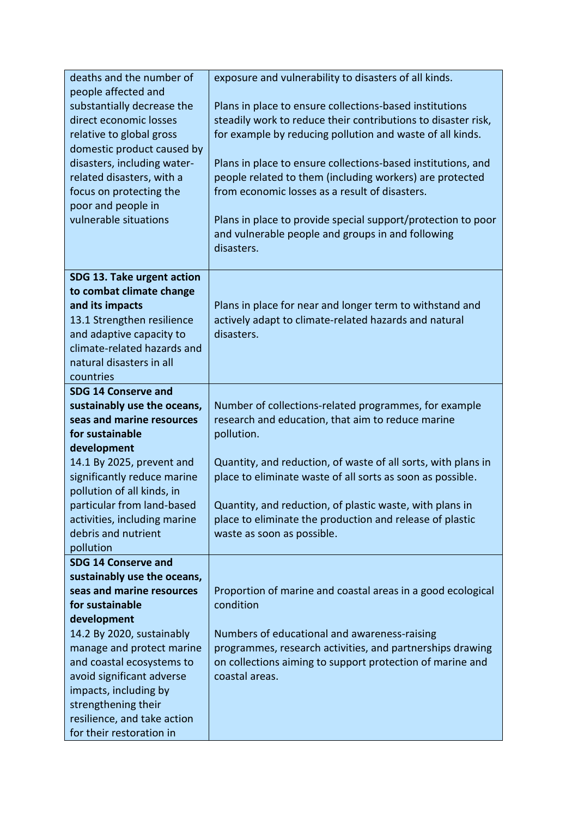| deaths and the number of                                 | exposure and vulnerability to disasters of all kinds.                                                                    |
|----------------------------------------------------------|--------------------------------------------------------------------------------------------------------------------------|
| people affected and                                      |                                                                                                                          |
| substantially decrease the<br>direct economic losses     | Plans in place to ensure collections-based institutions<br>steadily work to reduce their contributions to disaster risk, |
| relative to global gross                                 | for example by reducing pollution and waste of all kinds.                                                                |
| domestic product caused by                               |                                                                                                                          |
| disasters, including water-                              | Plans in place to ensure collections-based institutions, and                                                             |
| related disasters, with a                                | people related to them (including workers) are protected                                                                 |
| focus on protecting the                                  | from economic losses as a result of disasters.                                                                           |
| poor and people in                                       |                                                                                                                          |
| vulnerable situations                                    | Plans in place to provide special support/protection to poor                                                             |
|                                                          | and vulnerable people and groups in and following                                                                        |
|                                                          | disasters.                                                                                                               |
| SDG 13. Take urgent action                               |                                                                                                                          |
| to combat climate change                                 |                                                                                                                          |
| and its impacts                                          | Plans in place for near and longer term to withstand and                                                                 |
| 13.1 Strengthen resilience                               | actively adapt to climate-related hazards and natural                                                                    |
| and adaptive capacity to                                 | disasters.                                                                                                               |
| climate-related hazards and                              |                                                                                                                          |
| natural disasters in all                                 |                                                                                                                          |
| countries                                                |                                                                                                                          |
| <b>SDG 14 Conserve and</b>                               |                                                                                                                          |
| sustainably use the oceans,<br>seas and marine resources | Number of collections-related programmes, for example                                                                    |
| for sustainable                                          | research and education, that aim to reduce marine<br>pollution.                                                          |
| development                                              |                                                                                                                          |
| 14.1 By 2025, prevent and                                | Quantity, and reduction, of waste of all sorts, with plans in                                                            |
| significantly reduce marine                              | place to eliminate waste of all sorts as soon as possible.                                                               |
| pollution of all kinds, in                               |                                                                                                                          |
| particular from land-based                               | Quantity, and reduction, of plastic waste, with plans in                                                                 |
| activities, including marine                             | place to eliminate the production and release of plastic                                                                 |
| debris and nutrient                                      | waste as soon as possible.                                                                                               |
| pollution                                                |                                                                                                                          |
| <b>SDG 14 Conserve and</b>                               |                                                                                                                          |
| sustainably use the oceans,                              |                                                                                                                          |
| seas and marine resources                                | Proportion of marine and coastal areas in a good ecological                                                              |
| for sustainable                                          | condition                                                                                                                |
| development<br>14.2 By 2020, sustainably                 | Numbers of educational and awareness-raising                                                                             |
| manage and protect marine                                | programmes, research activities, and partnerships drawing                                                                |
| and coastal ecosystems to                                | on collections aiming to support protection of marine and                                                                |
| avoid significant adverse                                | coastal areas.                                                                                                           |
| impacts, including by                                    |                                                                                                                          |
| strengthening their                                      |                                                                                                                          |
| resilience, and take action                              |                                                                                                                          |
| for their restoration in                                 |                                                                                                                          |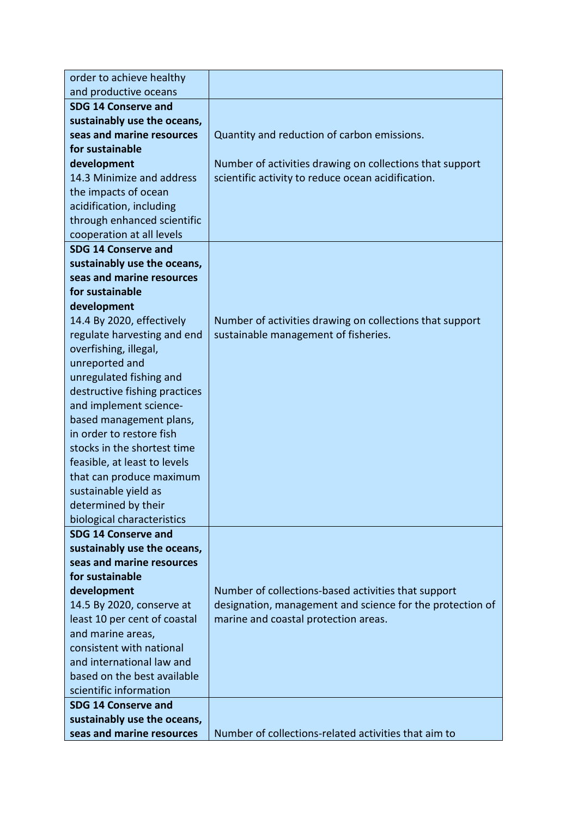| order to achieve healthy                                 |                                                           |
|----------------------------------------------------------|-----------------------------------------------------------|
| and productive oceans                                    |                                                           |
| <b>SDG 14 Conserve and</b>                               |                                                           |
| sustainably use the oceans,                              |                                                           |
| seas and marine resources                                | Quantity and reduction of carbon emissions.               |
| for sustainable                                          |                                                           |
| development                                              | Number of activities drawing on collections that support  |
| 14.3 Minimize and address                                | scientific activity to reduce ocean acidification.        |
| the impacts of ocean                                     |                                                           |
| acidification, including                                 |                                                           |
| through enhanced scientific                              |                                                           |
| cooperation at all levels                                |                                                           |
| <b>SDG 14 Conserve and</b>                               |                                                           |
| sustainably use the oceans,                              |                                                           |
| seas and marine resources                                |                                                           |
| for sustainable                                          |                                                           |
| development                                              |                                                           |
| 14.4 By 2020, effectively                                | Number of activities drawing on collections that support  |
| regulate harvesting and end                              | sustainable management of fisheries.                      |
| overfishing, illegal,                                    |                                                           |
| unreported and                                           |                                                           |
| unregulated fishing and                                  |                                                           |
| destructive fishing practices                            |                                                           |
| and implement science-                                   |                                                           |
| based management plans,                                  |                                                           |
| in order to restore fish                                 |                                                           |
| stocks in the shortest time                              |                                                           |
| feasible, at least to levels                             |                                                           |
| that can produce maximum                                 |                                                           |
| sustainable yield as                                     |                                                           |
| determined by their                                      |                                                           |
| biological characteristics                               |                                                           |
| <b>SDG 14 Conserve and</b>                               |                                                           |
| sustainably use the oceans,<br>seas and marine resources |                                                           |
| for sustainable                                          |                                                           |
|                                                          |                                                           |
| development                                              | Number of collections-based activities that support       |
| 14.5 By 2020, conserve at                                | designation, management and science for the protection of |
| least 10 per cent of coastal                             | marine and coastal protection areas.                      |
| and marine areas,<br>consistent with national            |                                                           |
| and international law and                                |                                                           |
| based on the best available                              |                                                           |
| scientific information                                   |                                                           |
| <b>SDG 14 Conserve and</b>                               |                                                           |
| sustainably use the oceans,                              |                                                           |
| seas and marine resources                                | Number of collections-related activities that aim to      |
|                                                          |                                                           |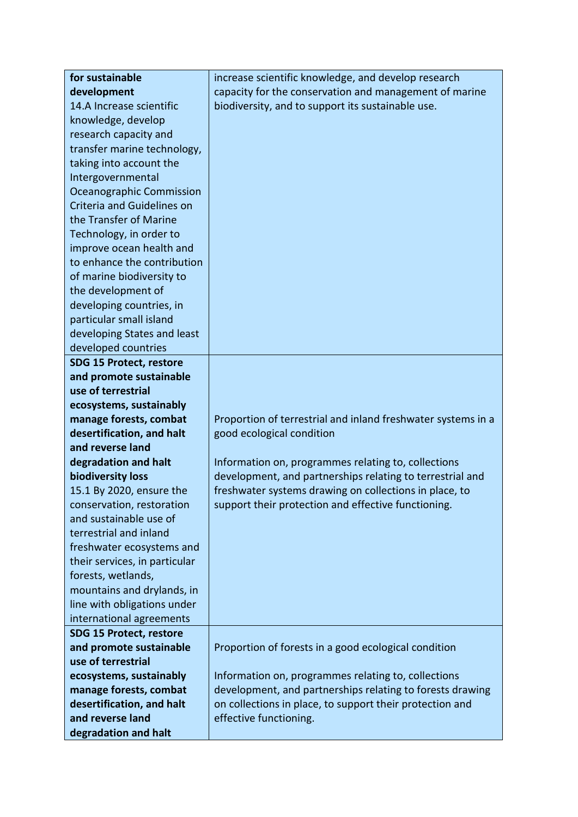| for sustainable                          | increase scientific knowledge, and develop research          |  |  |  |  |
|------------------------------------------|--------------------------------------------------------------|--|--|--|--|
| development                              | capacity for the conservation and management of marine       |  |  |  |  |
| 14.A Increase scientific                 | biodiversity, and to support its sustainable use.            |  |  |  |  |
| knowledge, develop                       |                                                              |  |  |  |  |
| research capacity and                    |                                                              |  |  |  |  |
| transfer marine technology,              |                                                              |  |  |  |  |
| taking into account the                  |                                                              |  |  |  |  |
| Intergovernmental                        |                                                              |  |  |  |  |
| Oceanographic Commission                 |                                                              |  |  |  |  |
| Criteria and Guidelines on               |                                                              |  |  |  |  |
| the Transfer of Marine                   |                                                              |  |  |  |  |
| Technology, in order to                  |                                                              |  |  |  |  |
| improve ocean health and                 |                                                              |  |  |  |  |
| to enhance the contribution              |                                                              |  |  |  |  |
| of marine biodiversity to                |                                                              |  |  |  |  |
| the development of                       |                                                              |  |  |  |  |
| developing countries, in                 |                                                              |  |  |  |  |
| particular small island                  |                                                              |  |  |  |  |
| developing States and least              |                                                              |  |  |  |  |
| developed countries                      |                                                              |  |  |  |  |
| <b>SDG 15 Protect, restore</b>           |                                                              |  |  |  |  |
| and promote sustainable                  |                                                              |  |  |  |  |
| use of terrestrial                       |                                                              |  |  |  |  |
| ecosystems, sustainably                  |                                                              |  |  |  |  |
| manage forests, combat                   | Proportion of terrestrial and inland freshwater systems in a |  |  |  |  |
| desertification, and halt                | good ecological condition                                    |  |  |  |  |
| and reverse land                         |                                                              |  |  |  |  |
|                                          |                                                              |  |  |  |  |
| degradation and halt                     | Information on, programmes relating to, collections          |  |  |  |  |
| biodiversity loss                        | development, and partnerships relating to terrestrial and    |  |  |  |  |
| 15.1 By 2020, ensure the                 | freshwater systems drawing on collections in place, to       |  |  |  |  |
| conservation, restoration                | support their protection and effective functioning.          |  |  |  |  |
| and sustainable use of                   |                                                              |  |  |  |  |
| terrestrial and inland                   |                                                              |  |  |  |  |
| freshwater ecosystems and                |                                                              |  |  |  |  |
| their services, in particular            |                                                              |  |  |  |  |
| forests, wetlands,                       |                                                              |  |  |  |  |
| mountains and drylands, in               |                                                              |  |  |  |  |
| line with obligations under              |                                                              |  |  |  |  |
| international agreements                 |                                                              |  |  |  |  |
| <b>SDG 15 Protect, restore</b>           |                                                              |  |  |  |  |
| and promote sustainable                  | Proportion of forests in a good ecological condition         |  |  |  |  |
| use of terrestrial                       |                                                              |  |  |  |  |
| ecosystems, sustainably                  | Information on, programmes relating to, collections          |  |  |  |  |
| manage forests, combat                   | development, and partnerships relating to forests drawing    |  |  |  |  |
| desertification, and halt                | on collections in place, to support their protection and     |  |  |  |  |
| and reverse land<br>degradation and halt | effective functioning.                                       |  |  |  |  |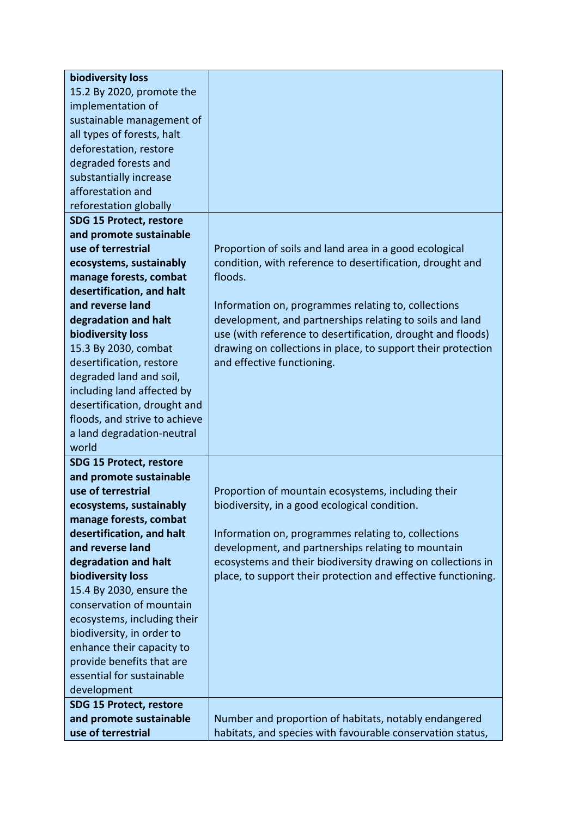| biodiversity loss              |                                                               |
|--------------------------------|---------------------------------------------------------------|
| 15.2 By 2020, promote the      |                                                               |
| implementation of              |                                                               |
| sustainable management of      |                                                               |
| all types of forests, halt     |                                                               |
| deforestation, restore         |                                                               |
| degraded forests and           |                                                               |
| substantially increase         |                                                               |
| afforestation and              |                                                               |
| reforestation globally         |                                                               |
| <b>SDG 15 Protect, restore</b> |                                                               |
| and promote sustainable        |                                                               |
| use of terrestrial             | Proportion of soils and land area in a good ecological        |
| ecosystems, sustainably        | condition, with reference to desertification, drought and     |
| manage forests, combat         | floods.                                                       |
| desertification, and halt      |                                                               |
| and reverse land               | Information on, programmes relating to, collections           |
| degradation and halt           | development, and partnerships relating to soils and land      |
| biodiversity loss              | use (with reference to desertification, drought and floods)   |
| 15.3 By 2030, combat           | drawing on collections in place, to support their protection  |
| desertification, restore       | and effective functioning.                                    |
| degraded land and soil,        |                                                               |
| including land affected by     |                                                               |
| desertification, drought and   |                                                               |
| floods, and strive to achieve  |                                                               |
| a land degradation-neutral     |                                                               |
| world                          |                                                               |
| <b>SDG 15 Protect, restore</b> |                                                               |
| and promote sustainable        |                                                               |
| use of terrestrial             | Proportion of mountain ecosystems, including their            |
| ecosystems, sustainably        | biodiversity, in a good ecological condition.                 |
| manage forests, combat         |                                                               |
| desertification, and halt      | Information on, programmes relating to, collections           |
| and reverse land               | development, and partnerships relating to mountain            |
| degradation and halt           | ecosystems and their biodiversity drawing on collections in   |
| biodiversity loss              | place, to support their protection and effective functioning. |
| 15.4 By 2030, ensure the       |                                                               |
| conservation of mountain       |                                                               |
| ecosystems, including their    |                                                               |
| biodiversity, in order to      |                                                               |
| enhance their capacity to      |                                                               |
| provide benefits that are      |                                                               |
| essential for sustainable      |                                                               |
| development                    |                                                               |
| <b>SDG 15 Protect, restore</b> |                                                               |
| and promote sustainable        | Number and proportion of habitats, notably endangered         |
| use of terrestrial             | habitats, and species with favourable conservation status,    |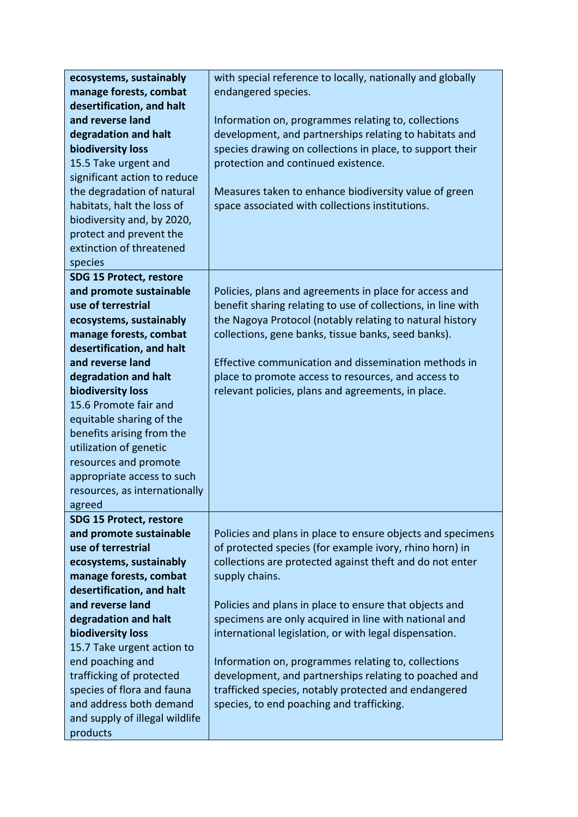| ecosystems, sustainably                       | with special reference to locally, nationally and globally                                                             |  |  |  |  |  |
|-----------------------------------------------|------------------------------------------------------------------------------------------------------------------------|--|--|--|--|--|
| manage forests, combat                        | endangered species.                                                                                                    |  |  |  |  |  |
| desertification, and halt                     |                                                                                                                        |  |  |  |  |  |
| and reverse land                              | Information on, programmes relating to, collections                                                                    |  |  |  |  |  |
| degradation and halt                          | development, and partnerships relating to habitats and                                                                 |  |  |  |  |  |
| biodiversity loss                             | species drawing on collections in place, to support their                                                              |  |  |  |  |  |
| 15.5 Take urgent and                          | protection and continued existence.                                                                                    |  |  |  |  |  |
| significant action to reduce                  |                                                                                                                        |  |  |  |  |  |
| the degradation of natural                    | Measures taken to enhance biodiversity value of green                                                                  |  |  |  |  |  |
| habitats, halt the loss of                    | space associated with collections institutions.                                                                        |  |  |  |  |  |
| biodiversity and, by 2020,                    |                                                                                                                        |  |  |  |  |  |
| protect and prevent the                       |                                                                                                                        |  |  |  |  |  |
| extinction of threatened                      |                                                                                                                        |  |  |  |  |  |
| species                                       |                                                                                                                        |  |  |  |  |  |
| <b>SDG 15 Protect, restore</b>                |                                                                                                                        |  |  |  |  |  |
| and promote sustainable                       | Policies, plans and agreements in place for access and                                                                 |  |  |  |  |  |
| use of terrestrial                            | benefit sharing relating to use of collections, in line with                                                           |  |  |  |  |  |
| ecosystems, sustainably                       | the Nagoya Protocol (notably relating to natural history                                                               |  |  |  |  |  |
| manage forests, combat                        | collections, gene banks, tissue banks, seed banks).                                                                    |  |  |  |  |  |
| desertification, and halt                     |                                                                                                                        |  |  |  |  |  |
| and reverse land                              | Effective communication and dissemination methods in                                                                   |  |  |  |  |  |
| degradation and halt                          | place to promote access to resources, and access to                                                                    |  |  |  |  |  |
| biodiversity loss                             | relevant policies, plans and agreements, in place.                                                                     |  |  |  |  |  |
| 15.6 Promote fair and                         |                                                                                                                        |  |  |  |  |  |
| equitable sharing of the                      |                                                                                                                        |  |  |  |  |  |
| benefits arising from the                     |                                                                                                                        |  |  |  |  |  |
| utilization of genetic                        |                                                                                                                        |  |  |  |  |  |
| resources and promote                         |                                                                                                                        |  |  |  |  |  |
| appropriate access to such                    |                                                                                                                        |  |  |  |  |  |
| resources, as internationally                 |                                                                                                                        |  |  |  |  |  |
| agreed                                        |                                                                                                                        |  |  |  |  |  |
| <b>SDG 15 Protect, restore</b>                |                                                                                                                        |  |  |  |  |  |
| and promote sustainable<br>use of terrestrial | Policies and plans in place to ensure objects and specimens<br>of protected species (for example ivory, rhino horn) in |  |  |  |  |  |
| ecosystems, sustainably                       | collections are protected against theft and do not enter                                                               |  |  |  |  |  |
| manage forests, combat                        | supply chains.                                                                                                         |  |  |  |  |  |
| desertification, and halt                     |                                                                                                                        |  |  |  |  |  |
| and reverse land                              | Policies and plans in place to ensure that objects and                                                                 |  |  |  |  |  |
| degradation and halt                          | specimens are only acquired in line with national and                                                                  |  |  |  |  |  |
| biodiversity loss                             | international legislation, or with legal dispensation.                                                                 |  |  |  |  |  |
| 15.7 Take urgent action to                    |                                                                                                                        |  |  |  |  |  |
| end poaching and                              | Information on, programmes relating to, collections                                                                    |  |  |  |  |  |
| trafficking of protected                      | development, and partnerships relating to poached and                                                                  |  |  |  |  |  |
|                                               |                                                                                                                        |  |  |  |  |  |
| and address both demand                       | species, to end poaching and trafficking.                                                                              |  |  |  |  |  |
| and supply of illegal wildlife                |                                                                                                                        |  |  |  |  |  |
| products                                      |                                                                                                                        |  |  |  |  |  |
| species of flora and fauna                    | trafficked species, notably protected and endangered                                                                   |  |  |  |  |  |
|                                               |                                                                                                                        |  |  |  |  |  |
|                                               |                                                                                                                        |  |  |  |  |  |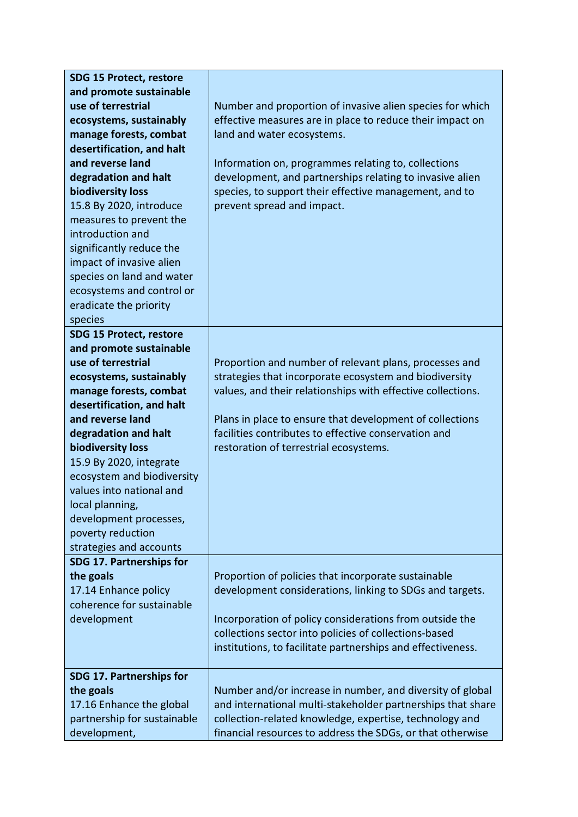| <b>SDG 15 Protect, restore</b> |                                                             |  |  |  |  |  |
|--------------------------------|-------------------------------------------------------------|--|--|--|--|--|
| and promote sustainable        |                                                             |  |  |  |  |  |
| use of terrestrial             | Number and proportion of invasive alien species for which   |  |  |  |  |  |
| ecosystems, sustainably        | effective measures are in place to reduce their impact on   |  |  |  |  |  |
| manage forests, combat         | land and water ecosystems.                                  |  |  |  |  |  |
| desertification, and halt      |                                                             |  |  |  |  |  |
| and reverse land               | Information on, programmes relating to, collections         |  |  |  |  |  |
| degradation and halt           | development, and partnerships relating to invasive alien    |  |  |  |  |  |
| biodiversity loss              | species, to support their effective management, and to      |  |  |  |  |  |
| 15.8 By 2020, introduce        | prevent spread and impact.                                  |  |  |  |  |  |
| measures to prevent the        |                                                             |  |  |  |  |  |
| introduction and               |                                                             |  |  |  |  |  |
| significantly reduce the       |                                                             |  |  |  |  |  |
| impact of invasive alien       |                                                             |  |  |  |  |  |
| species on land and water      |                                                             |  |  |  |  |  |
| ecosystems and control or      |                                                             |  |  |  |  |  |
| eradicate the priority         |                                                             |  |  |  |  |  |
| species                        |                                                             |  |  |  |  |  |
| <b>SDG 15 Protect, restore</b> |                                                             |  |  |  |  |  |
| and promote sustainable        |                                                             |  |  |  |  |  |
| use of terrestrial             | Proportion and number of relevant plans, processes and      |  |  |  |  |  |
| ecosystems, sustainably        | strategies that incorporate ecosystem and biodiversity      |  |  |  |  |  |
| manage forests, combat         | values, and their relationships with effective collections. |  |  |  |  |  |
| desertification, and halt      |                                                             |  |  |  |  |  |
| and reverse land               | Plans in place to ensure that development of collections    |  |  |  |  |  |
| degradation and halt           | facilities contributes to effective conservation and        |  |  |  |  |  |
| biodiversity loss              | restoration of terrestrial ecosystems.                      |  |  |  |  |  |
| 15.9 By 2020, integrate        |                                                             |  |  |  |  |  |
| ecosystem and biodiversity     |                                                             |  |  |  |  |  |
| values into national and       |                                                             |  |  |  |  |  |
| local planning,                |                                                             |  |  |  |  |  |
| development processes,         |                                                             |  |  |  |  |  |
| poverty reduction              |                                                             |  |  |  |  |  |
| strategies and accounts        |                                                             |  |  |  |  |  |
| SDG 17. Partnerships for       |                                                             |  |  |  |  |  |
| the goals                      | Proportion of policies that incorporate sustainable         |  |  |  |  |  |
| 17.14 Enhance policy           | development considerations, linking to SDGs and targets.    |  |  |  |  |  |
| coherence for sustainable      |                                                             |  |  |  |  |  |
| development                    | Incorporation of policy considerations from outside the     |  |  |  |  |  |
|                                | collections sector into policies of collections-based       |  |  |  |  |  |
|                                | institutions, to facilitate partnerships and effectiveness. |  |  |  |  |  |
|                                |                                                             |  |  |  |  |  |
| SDG 17. Partnerships for       |                                                             |  |  |  |  |  |
| the goals                      | Number and/or increase in number, and diversity of global   |  |  |  |  |  |
| 17.16 Enhance the global       | and international multi-stakeholder partnerships that share |  |  |  |  |  |
| partnership for sustainable    | collection-related knowledge, expertise, technology and     |  |  |  |  |  |
| development,                   | financial resources to address the SDGs, or that otherwise  |  |  |  |  |  |